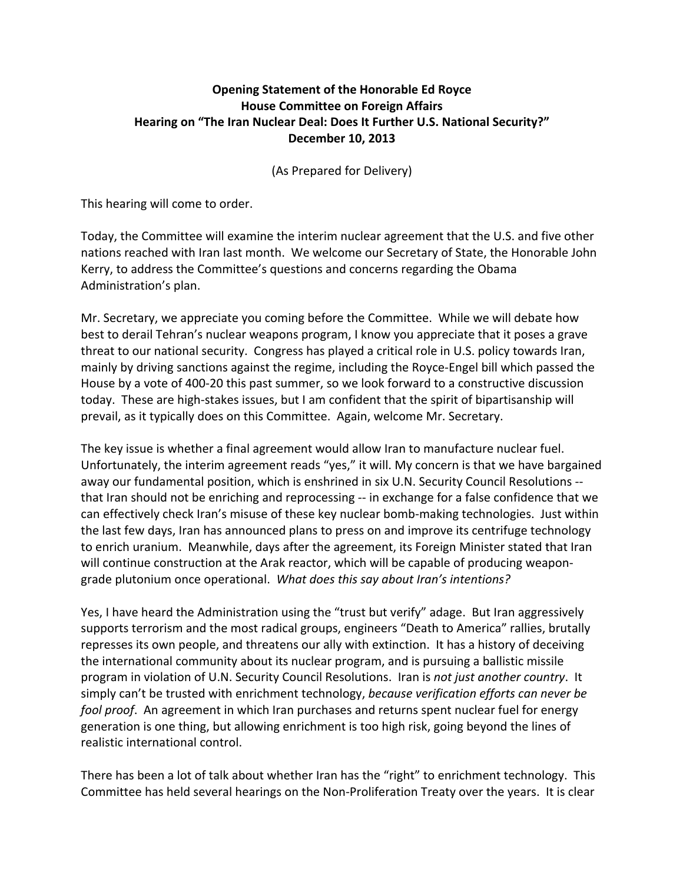## **Opening'Statement'of'the'Honorable Ed'Royce House Committee on Foreign Affairs** Hearing on "The Iran Nuclear Deal: Does It Further U.S. National Security?" **December'10,'2013**

(As Prepared for Delivery)

This hearing will come to order.

Today, the Committee will examine the interim nuclear agreement that the U.S. and five other nations reached with Iran last month. We welcome our Secretary of State, the Honorable John Kerry, to address the Committee's questions and concerns regarding the Obama Administration's plan.

Mr. Secretary, we appreciate you coming before the Committee. While we will debate how best to derail Tehran's nuclear weapons program, I know you appreciate that it poses a grave threat to our national security. Congress has played a critical role in U.S. policy towards Iran, mainly by driving sanctions against the regime, including the Royce-Engel bill which passed the House by a vote of 400-20 this past summer, so we look forward to a constructive discussion today. These are high-stakes issues, but I am confident that the spirit of bipartisanship will prevail, as it typically does on this Committee. Again, welcome Mr. Secretary.

The key issue is whether a final agreement would allow Iran to manufacture nuclear fuel. Unfortunately, the interim agreement reads "yes," it will. My concern is that we have bargained away our fundamental position, which is enshrined in six U.N. Security Council Resolutions -that Iran should not be enriching and reprocessing -- in exchange for a false confidence that we can effectively check Iran's misuse of these key nuclear bomb-making technologies. Just within the last few days, Iran has announced plans to press on and improve its centrifuge technology to enrich uranium. Meanwhile, days after the agreement, its Foreign Minister stated that Iran will continue construction at the Arak reactor, which will be capable of producing weapongrade plutonium once operational. What does this say about Iran's intentions?

Yes, I have heard the Administration using the "trust but verify" adage. But Iran aggressively supports terrorism and the most radical groups, engineers "Death to America" rallies, brutally represses its own people, and threatens our ally with extinction. It has a history of deceiving the international community about its nuclear program, and is pursuing a ballistic missile program in violation of U.N. Security Council Resolutions. Iran is *not just another country*. It simply can't be trusted with enrichment technology, *because verification efforts can never be fool proof.* An agreement in which Iran purchases and returns spent nuclear fuel for energy generation is one thing, but allowing enrichment is too high risk, going beyond the lines of realistic international control.

There has been a lot of talk about whether Iran has the "right" to enrichment technology. This Committee has held several hearings on the Non-Proliferation Treaty over the years. It is clear